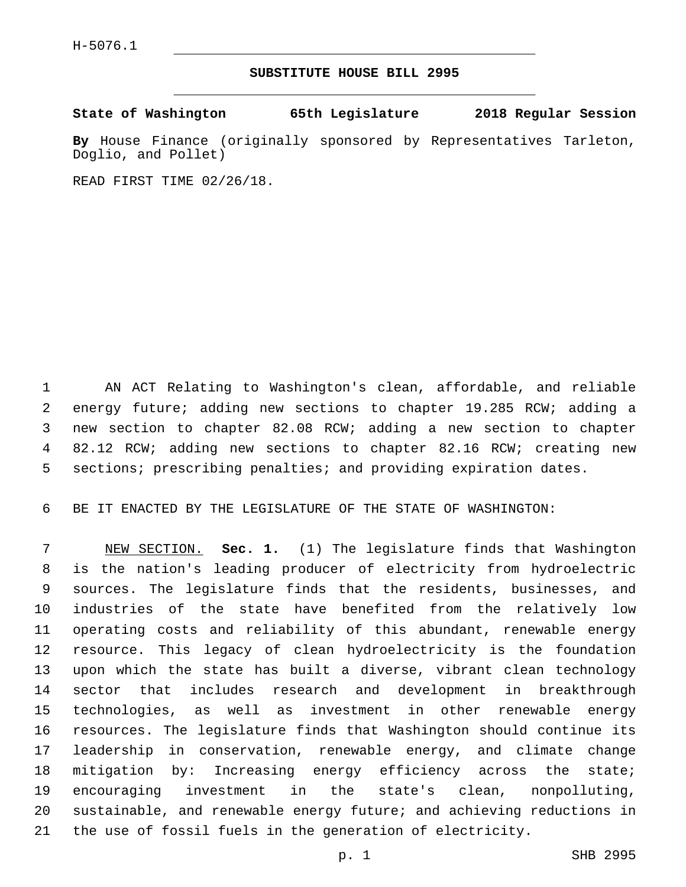## **SUBSTITUTE HOUSE BILL 2995**

**State of Washington 65th Legislature 2018 Regular Session**

**By** House Finance (originally sponsored by Representatives Tarleton, Doglio, and Pollet)

READ FIRST TIME 02/26/18.

 AN ACT Relating to Washington's clean, affordable, and reliable energy future; adding new sections to chapter 19.285 RCW; adding a new section to chapter 82.08 RCW; adding a new section to chapter 82.12 RCW; adding new sections to chapter 82.16 RCW; creating new sections; prescribing penalties; and providing expiration dates.

BE IT ENACTED BY THE LEGISLATURE OF THE STATE OF WASHINGTON:

 NEW SECTION. **Sec. 1.** (1) The legislature finds that Washington is the nation's leading producer of electricity from hydroelectric sources. The legislature finds that the residents, businesses, and industries of the state have benefited from the relatively low operating costs and reliability of this abundant, renewable energy resource. This legacy of clean hydroelectricity is the foundation upon which the state has built a diverse, vibrant clean technology sector that includes research and development in breakthrough technologies, as well as investment in other renewable energy resources. The legislature finds that Washington should continue its leadership in conservation, renewable energy, and climate change mitigation by: Increasing energy efficiency across the state; encouraging investment in the state's clean, nonpolluting, sustainable, and renewable energy future; and achieving reductions in the use of fossil fuels in the generation of electricity.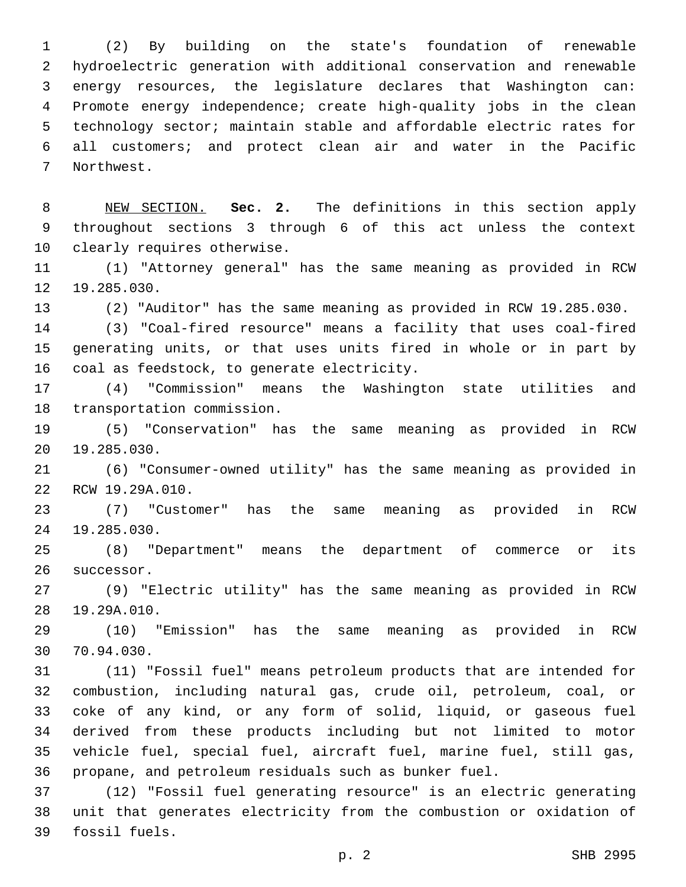(2) By building on the state's foundation of renewable hydroelectric generation with additional conservation and renewable energy resources, the legislature declares that Washington can: Promote energy independence; create high-quality jobs in the clean technology sector; maintain stable and affordable electric rates for all customers; and protect clean air and water in the Pacific 7 Northwest.

 NEW SECTION. **Sec. 2.** The definitions in this section apply throughout sections 3 through 6 of this act unless the context clearly requires otherwise.

 (1) "Attorney general" has the same meaning as provided in RCW 12 19.285.030.

(2) "Auditor" has the same meaning as provided in RCW 19.285.030.

 (3) "Coal-fired resource" means a facility that uses coal-fired generating units, or that uses units fired in whole or in part by 16 coal as feedstock, to generate electricity.

 (4) "Commission" means the Washington state utilities and 18 transportation commission.

 (5) "Conservation" has the same meaning as provided in RCW 20 19.285.030.

 (6) "Consumer-owned utility" has the same meaning as provided in 22 RCW 19.29A.010.

 (7) "Customer" has the same meaning as provided in RCW 24 19.285.030.

 (8) "Department" means the department of commerce or its 26 successor.

 (9) "Electric utility" has the same meaning as provided in RCW 28 19.29A.010.

 (10) "Emission" has the same meaning as provided in RCW 30 70.94.030.

 (11) "Fossil fuel" means petroleum products that are intended for combustion, including natural gas, crude oil, petroleum, coal, or coke of any kind, or any form of solid, liquid, or gaseous fuel derived from these products including but not limited to motor vehicle fuel, special fuel, aircraft fuel, marine fuel, still gas, propane, and petroleum residuals such as bunker fuel.

 (12) "Fossil fuel generating resource" is an electric generating unit that generates electricity from the combustion or oxidation of 39 fossil fuels.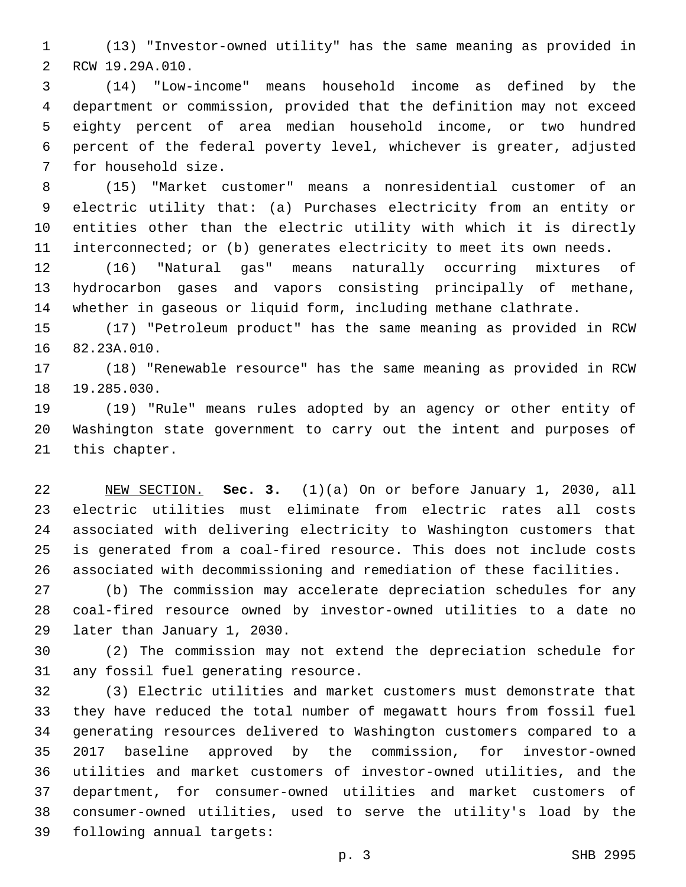(13) "Investor-owned utility" has the same meaning as provided in 2 RCW 19.29A.010.

 (14) "Low-income" means household income as defined by the department or commission, provided that the definition may not exceed eighty percent of area median household income, or two hundred percent of the federal poverty level, whichever is greater, adjusted 7 for household size.

 (15) "Market customer" means a nonresidential customer of an electric utility that: (a) Purchases electricity from an entity or entities other than the electric utility with which it is directly interconnected; or (b) generates electricity to meet its own needs.

 (16) "Natural gas" means naturally occurring mixtures of hydrocarbon gases and vapors consisting principally of methane, whether in gaseous or liquid form, including methane clathrate.

 (17) "Petroleum product" has the same meaning as provided in RCW 16 82.23A.010.

 (18) "Renewable resource" has the same meaning as provided in RCW 18 19.285.030.

 (19) "Rule" means rules adopted by an agency or other entity of Washington state government to carry out the intent and purposes of 21 this chapter.

 NEW SECTION. **Sec. 3.** (1)(a) On or before January 1, 2030, all electric utilities must eliminate from electric rates all costs associated with delivering electricity to Washington customers that is generated from a coal-fired resource. This does not include costs associated with decommissioning and remediation of these facilities.

 (b) The commission may accelerate depreciation schedules for any coal-fired resource owned by investor-owned utilities to a date no 29 later than January 1, 2030.

 (2) The commission may not extend the depreciation schedule for 31 any fossil fuel generating resource.

 (3) Electric utilities and market customers must demonstrate that they have reduced the total number of megawatt hours from fossil fuel generating resources delivered to Washington customers compared to a 2017 baseline approved by the commission, for investor-owned utilities and market customers of investor-owned utilities, and the department, for consumer-owned utilities and market customers of consumer-owned utilities, used to serve the utility's load by the 39 following annual targets: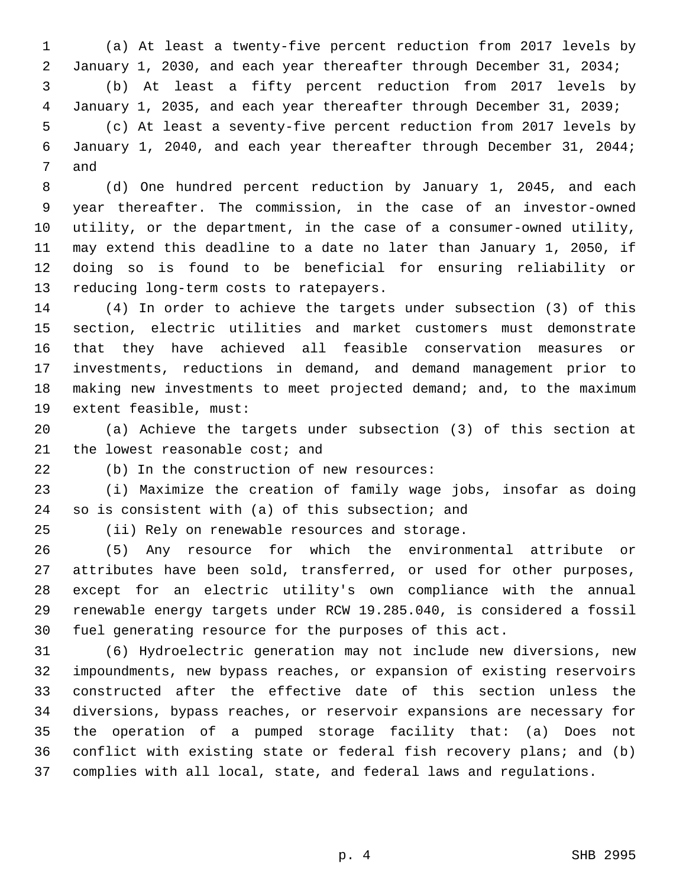(a) At least a twenty-five percent reduction from 2017 levels by January 1, 2030, and each year thereafter through December 31, 2034; (b) At least a fifty percent reduction from 2017 levels by January 1, 2035, and each year thereafter through December 31, 2039; (c) At least a seventy-five percent reduction from 2017 levels by January 1, 2040, and each year thereafter through December 31, 2044; 7 and

 (d) One hundred percent reduction by January 1, 2045, and each year thereafter. The commission, in the case of an investor-owned utility, or the department, in the case of a consumer-owned utility, may extend this deadline to a date no later than January 1, 2050, if doing so is found to be beneficial for ensuring reliability or 13 reducing long-term costs to ratepayers.

 (4) In order to achieve the targets under subsection (3) of this section, electric utilities and market customers must demonstrate that they have achieved all feasible conservation measures or investments, reductions in demand, and demand management prior to making new investments to meet projected demand; and, to the maximum 19 extent feasible, must:

 (a) Achieve the targets under subsection (3) of this section at 21 the lowest reasonable cost; and

22 (b) In the construction of new resources:

 (i) Maximize the creation of family wage jobs, insofar as doing 24 so is consistent with (a) of this subsection; and

25 (ii) Rely on renewable resources and storage.

 (5) Any resource for which the environmental attribute or attributes have been sold, transferred, or used for other purposes, except for an electric utility's own compliance with the annual renewable energy targets under RCW 19.285.040, is considered a fossil fuel generating resource for the purposes of this act.

 (6) Hydroelectric generation may not include new diversions, new impoundments, new bypass reaches, or expansion of existing reservoirs constructed after the effective date of this section unless the diversions, bypass reaches, or reservoir expansions are necessary for the operation of a pumped storage facility that: (a) Does not conflict with existing state or federal fish recovery plans; and (b) complies with all local, state, and federal laws and regulations.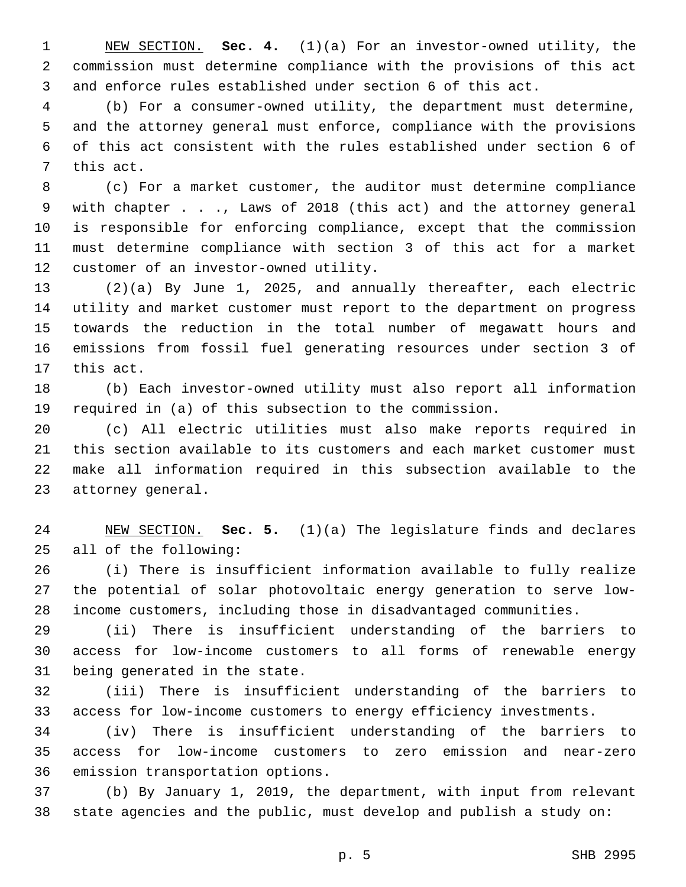NEW SECTION. **Sec. 4.** (1)(a) For an investor-owned utility, the commission must determine compliance with the provisions of this act and enforce rules established under section 6 of this act.

 (b) For a consumer-owned utility, the department must determine, and the attorney general must enforce, compliance with the provisions of this act consistent with the rules established under section 6 of 7 this act.

 (c) For a market customer, the auditor must determine compliance with chapter . . ., Laws of 2018 (this act) and the attorney general is responsible for enforcing compliance, except that the commission must determine compliance with section 3 of this act for a market 12 customer of an investor-owned utility.

 (2)(a) By June 1, 2025, and annually thereafter, each electric utility and market customer must report to the department on progress towards the reduction in the total number of megawatt hours and emissions from fossil fuel generating resources under section 3 of 17 this act.

 (b) Each investor-owned utility must also report all information required in (a) of this subsection to the commission.

 (c) All electric utilities must also make reports required in this section available to its customers and each market customer must make all information required in this subsection available to the 23 attorney general.

 NEW SECTION. **Sec. 5.** (1)(a) The legislature finds and declares all of the following:

 (i) There is insufficient information available to fully realize the potential of solar photovoltaic energy generation to serve low-income customers, including those in disadvantaged communities.

 (ii) There is insufficient understanding of the barriers to access for low-income customers to all forms of renewable energy 31 being generated in the state.

 (iii) There is insufficient understanding of the barriers to access for low-income customers to energy efficiency investments.

 (iv) There is insufficient understanding of the barriers to access for low-income customers to zero emission and near-zero 36 emission transportation options.

 (b) By January 1, 2019, the department, with input from relevant state agencies and the public, must develop and publish a study on: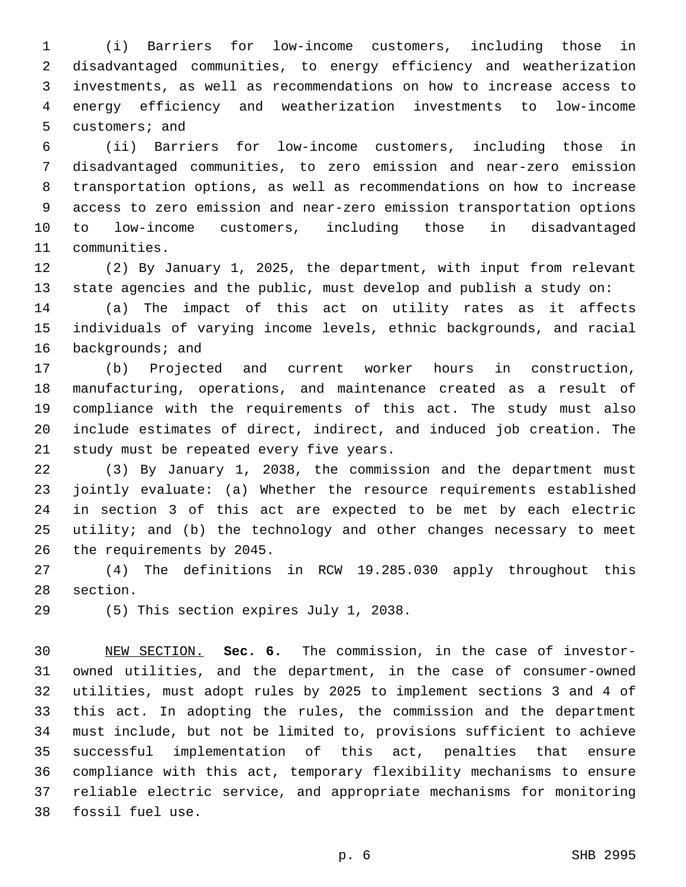(i) Barriers for low-income customers, including those in disadvantaged communities, to energy efficiency and weatherization investments, as well as recommendations on how to increase access to energy efficiency and weatherization investments to low-income 5 customers; and

 (ii) Barriers for low-income customers, including those in disadvantaged communities, to zero emission and near-zero emission transportation options, as well as recommendations on how to increase access to zero emission and near-zero emission transportation options to low-income customers, including those in disadvantaged 11 communities.

 (2) By January 1, 2025, the department, with input from relevant state agencies and the public, must develop and publish a study on:

 (a) The impact of this act on utility rates as it affects individuals of varying income levels, ethnic backgrounds, and racial 16 backgrounds; and

 (b) Projected and current worker hours in construction, manufacturing, operations, and maintenance created as a result of compliance with the requirements of this act. The study must also include estimates of direct, indirect, and induced job creation. The 21 study must be repeated every five years.

 (3) By January 1, 2038, the commission and the department must jointly evaluate: (a) Whether the resource requirements established in section 3 of this act are expected to be met by each electric utility; and (b) the technology and other changes necessary to meet 26 the requirements by 2045.

 (4) The definitions in RCW 19.285.030 apply throughout this 28 section.

29 (5) This section expires July 1, 2038.

 NEW SECTION. **Sec. 6.** The commission, in the case of investor- owned utilities, and the department, in the case of consumer-owned utilities, must adopt rules by 2025 to implement sections 3 and 4 of this act. In adopting the rules, the commission and the department must include, but not be limited to, provisions sufficient to achieve successful implementation of this act, penalties that ensure compliance with this act, temporary flexibility mechanisms to ensure reliable electric service, and appropriate mechanisms for monitoring fossil fuel use.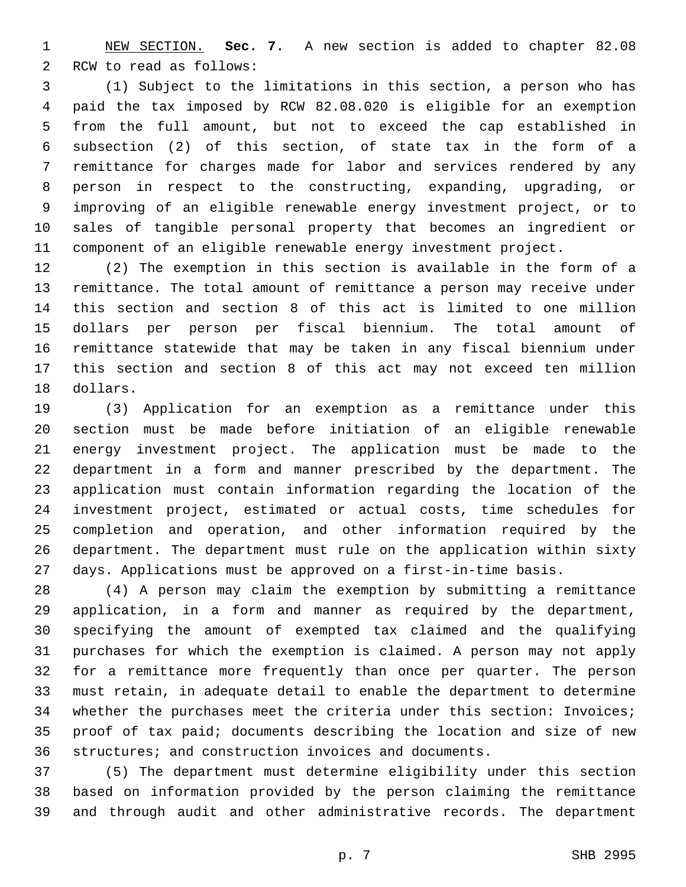NEW SECTION. **Sec. 7.** A new section is added to chapter 82.08 2 RCW to read as follows:

 (1) Subject to the limitations in this section, a person who has paid the tax imposed by RCW 82.08.020 is eligible for an exemption from the full amount, but not to exceed the cap established in subsection (2) of this section, of state tax in the form of a remittance for charges made for labor and services rendered by any person in respect to the constructing, expanding, upgrading, or improving of an eligible renewable energy investment project, or to sales of tangible personal property that becomes an ingredient or component of an eligible renewable energy investment project.

 (2) The exemption in this section is available in the form of a remittance. The total amount of remittance a person may receive under this section and section 8 of this act is limited to one million dollars per person per fiscal biennium. The total amount of remittance statewide that may be taken in any fiscal biennium under this section and section 8 of this act may not exceed ten million 18 dollars.

 (3) Application for an exemption as a remittance under this section must be made before initiation of an eligible renewable energy investment project. The application must be made to the department in a form and manner prescribed by the department. The application must contain information regarding the location of the investment project, estimated or actual costs, time schedules for completion and operation, and other information required by the department. The department must rule on the application within sixty days. Applications must be approved on a first-in-time basis.

 (4) A person may claim the exemption by submitting a remittance application, in a form and manner as required by the department, specifying the amount of exempted tax claimed and the qualifying purchases for which the exemption is claimed. A person may not apply for a remittance more frequently than once per quarter. The person must retain, in adequate detail to enable the department to determine whether the purchases meet the criteria under this section: Invoices; proof of tax paid; documents describing the location and size of new structures; and construction invoices and documents.

 (5) The department must determine eligibility under this section based on information provided by the person claiming the remittance and through audit and other administrative records. The department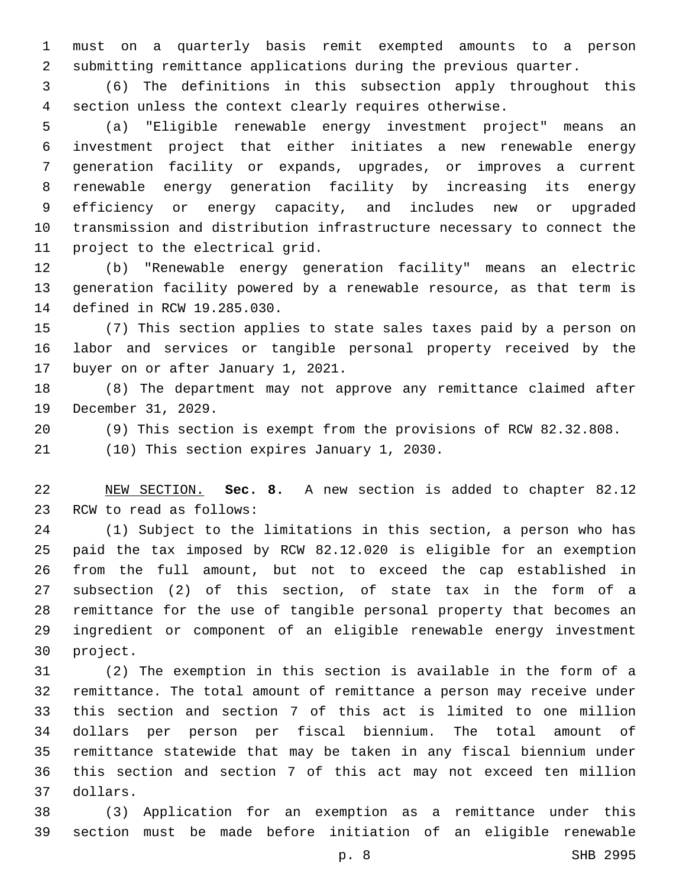must on a quarterly basis remit exempted amounts to a person submitting remittance applications during the previous quarter.

 (6) The definitions in this subsection apply throughout this section unless the context clearly requires otherwise.

 (a) "Eligible renewable energy investment project" means an investment project that either initiates a new renewable energy generation facility or expands, upgrades, or improves a current renewable energy generation facility by increasing its energy efficiency or energy capacity, and includes new or upgraded transmission and distribution infrastructure necessary to connect the 11 project to the electrical grid.

 (b) "Renewable energy generation facility" means an electric generation facility powered by a renewable resource, as that term is 14 defined in RCW 19.285.030.

 (7) This section applies to state sales taxes paid by a person on labor and services or tangible personal property received by the 17 buyer on or after January 1, 2021.

 (8) The department may not approve any remittance claimed after 19 December 31, 2029.

(9) This section is exempt from the provisions of RCW 82.32.808.

21 (10) This section expires January 1, 2030.

 NEW SECTION. **Sec. 8.** A new section is added to chapter 82.12 23 RCW to read as follows:

 (1) Subject to the limitations in this section, a person who has paid the tax imposed by RCW 82.12.020 is eligible for an exemption from the full amount, but not to exceed the cap established in subsection (2) of this section, of state tax in the form of a remittance for the use of tangible personal property that becomes an ingredient or component of an eligible renewable energy investment 30 project.

 (2) The exemption in this section is available in the form of a remittance. The total amount of remittance a person may receive under this section and section 7 of this act is limited to one million dollars per person per fiscal biennium. The total amount of remittance statewide that may be taken in any fiscal biennium under this section and section 7 of this act may not exceed ten million dollars.37

 (3) Application for an exemption as a remittance under this section must be made before initiation of an eligible renewable

p. 8 SHB 2995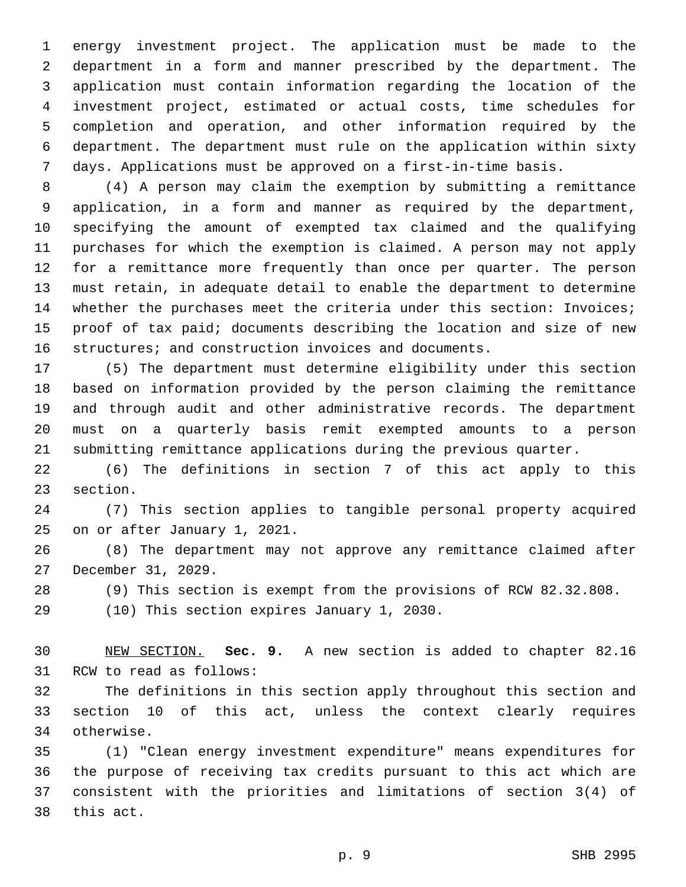energy investment project. The application must be made to the department in a form and manner prescribed by the department. The application must contain information regarding the location of the investment project, estimated or actual costs, time schedules for completion and operation, and other information required by the department. The department must rule on the application within sixty days. Applications must be approved on a first-in-time basis.

 (4) A person may claim the exemption by submitting a remittance application, in a form and manner as required by the department, specifying the amount of exempted tax claimed and the qualifying purchases for which the exemption is claimed. A person may not apply for a remittance more frequently than once per quarter. The person must retain, in adequate detail to enable the department to determine whether the purchases meet the criteria under this section: Invoices; proof of tax paid; documents describing the location and size of new structures; and construction invoices and documents.

 (5) The department must determine eligibility under this section based on information provided by the person claiming the remittance and through audit and other administrative records. The department must on a quarterly basis remit exempted amounts to a person submitting remittance applications during the previous quarter.

 (6) The definitions in section 7 of this act apply to this 23 section.

 (7) This section applies to tangible personal property acquired 25 on or after January 1, 2021.

 (8) The department may not approve any remittance claimed after 27 December 31, 2029.

(9) This section is exempt from the provisions of RCW 82.32.808.

29 (10) This section expires January 1, 2030.

 NEW SECTION. **Sec. 9.** A new section is added to chapter 82.16 31 RCW to read as follows:

 The definitions in this section apply throughout this section and section 10 of this act, unless the context clearly requires 34 otherwise.

 (1) "Clean energy investment expenditure" means expenditures for the purpose of receiving tax credits pursuant to this act which are consistent with the priorities and limitations of section 3(4) of 38 this act.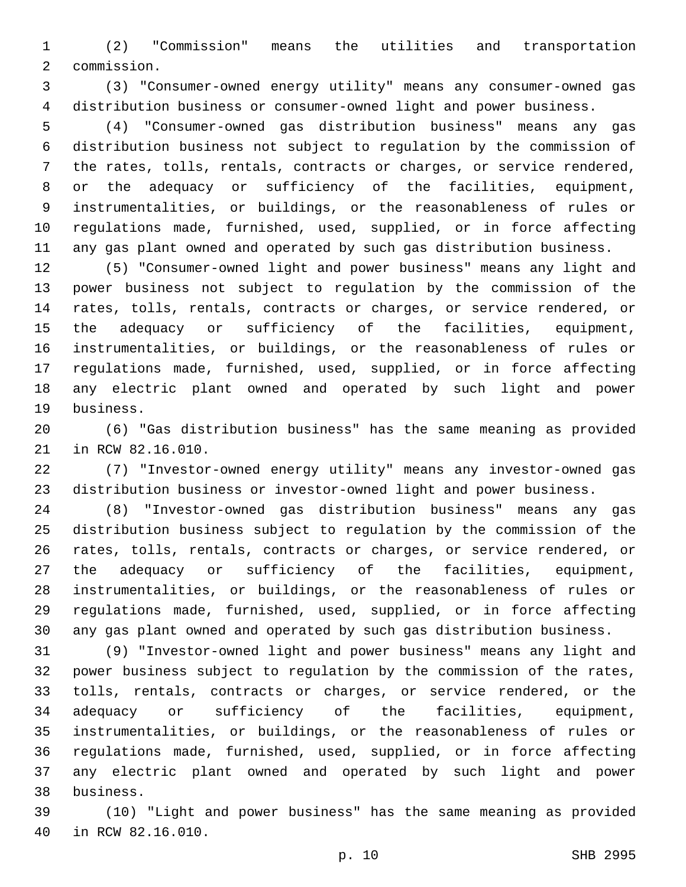(2) "Commission" means the utilities and transportation 2 commission.

 (3) "Consumer-owned energy utility" means any consumer-owned gas distribution business or consumer-owned light and power business.

 (4) "Consumer-owned gas distribution business" means any gas distribution business not subject to regulation by the commission of the rates, tolls, rentals, contracts or charges, or service rendered, or the adequacy or sufficiency of the facilities, equipment, instrumentalities, or buildings, or the reasonableness of rules or regulations made, furnished, used, supplied, or in force affecting any gas plant owned and operated by such gas distribution business.

 (5) "Consumer-owned light and power business" means any light and power business not subject to regulation by the commission of the rates, tolls, rentals, contracts or charges, or service rendered, or the adequacy or sufficiency of the facilities, equipment, instrumentalities, or buildings, or the reasonableness of rules or regulations made, furnished, used, supplied, or in force affecting any electric plant owned and operated by such light and power 19 business.

 (6) "Gas distribution business" has the same meaning as provided 21 in RCW 82.16.010.

 (7) "Investor-owned energy utility" means any investor-owned gas distribution business or investor-owned light and power business.

 (8) "Investor-owned gas distribution business" means any gas distribution business subject to regulation by the commission of the rates, tolls, rentals, contracts or charges, or service rendered, or the adequacy or sufficiency of the facilities, equipment, instrumentalities, or buildings, or the reasonableness of rules or regulations made, furnished, used, supplied, or in force affecting any gas plant owned and operated by such gas distribution business.

 (9) "Investor-owned light and power business" means any light and power business subject to regulation by the commission of the rates, tolls, rentals, contracts or charges, or service rendered, or the adequacy or sufficiency of the facilities, equipment, instrumentalities, or buildings, or the reasonableness of rules or regulations made, furnished, used, supplied, or in force affecting any electric plant owned and operated by such light and power business.38

 (10) "Light and power business" has the same meaning as provided 40 in RCW 82.16.010.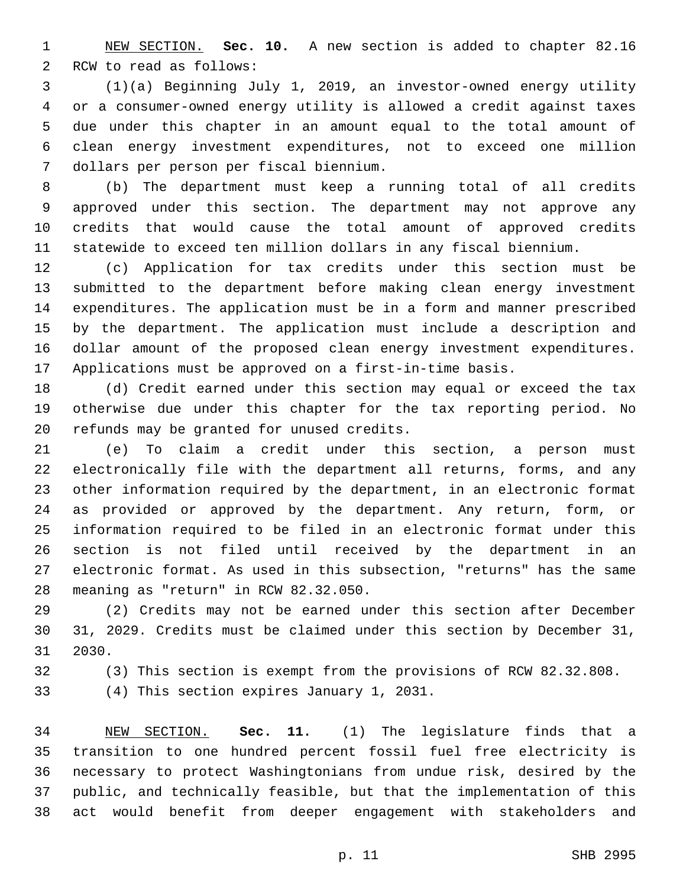NEW SECTION. **Sec. 10.** A new section is added to chapter 82.16 2 RCW to read as follows:

 (1)(a) Beginning July 1, 2019, an investor-owned energy utility or a consumer-owned energy utility is allowed a credit against taxes due under this chapter in an amount equal to the total amount of clean energy investment expenditures, not to exceed one million dollars per person per fiscal biennium.7

 (b) The department must keep a running total of all credits approved under this section. The department may not approve any credits that would cause the total amount of approved credits statewide to exceed ten million dollars in any fiscal biennium.

 (c) Application for tax credits under this section must be submitted to the department before making clean energy investment expenditures. The application must be in a form and manner prescribed by the department. The application must include a description and dollar amount of the proposed clean energy investment expenditures. Applications must be approved on a first-in-time basis.

 (d) Credit earned under this section may equal or exceed the tax otherwise due under this chapter for the tax reporting period. No 20 refunds may be granted for unused credits.

 (e) To claim a credit under this section, a person must electronically file with the department all returns, forms, and any other information required by the department, in an electronic format as provided or approved by the department. Any return, form, or information required to be filed in an electronic format under this section is not filed until received by the department in an electronic format. As used in this subsection, "returns" has the same 28 meaning as "return" in RCW 82.32.050.

 (2) Credits may not be earned under this section after December 31, 2029. Credits must be claimed under this section by December 31, 31 2030.

(3) This section is exempt from the provisions of RCW 82.32.808.

(4) This section expires January 1, 2031.

 NEW SECTION. **Sec. 11.** (1) The legislature finds that a transition to one hundred percent fossil fuel free electricity is necessary to protect Washingtonians from undue risk, desired by the public, and technically feasible, but that the implementation of this act would benefit from deeper engagement with stakeholders and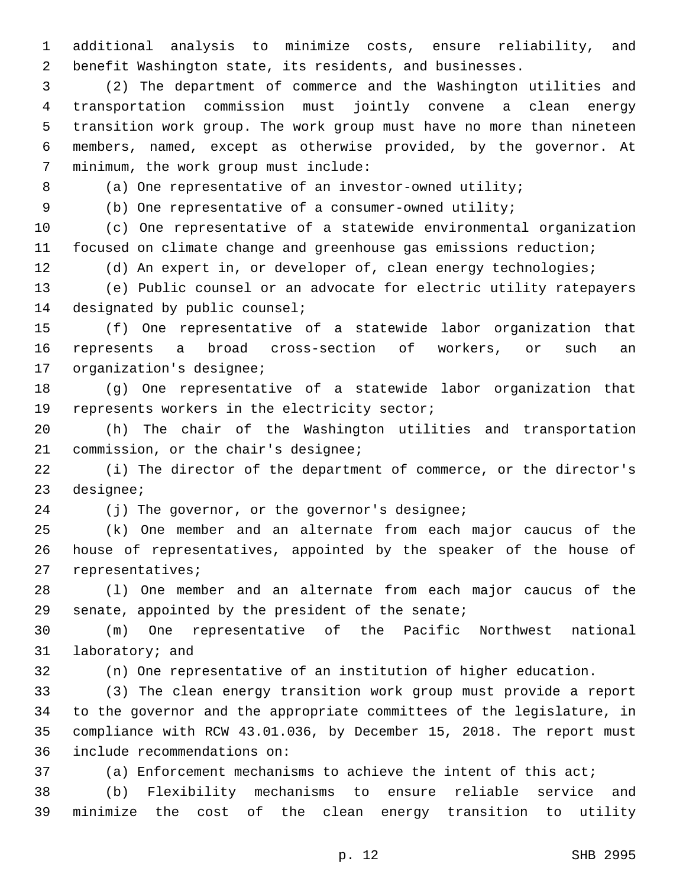additional analysis to minimize costs, ensure reliability, and benefit Washington state, its residents, and businesses.

 (2) The department of commerce and the Washington utilities and transportation commission must jointly convene a clean energy transition work group. The work group must have no more than nineteen members, named, except as otherwise provided, by the governor. At 7 minimum, the work group must include:

8 (a) One representative of an investor-owned utility;

(b) One representative of a consumer-owned utility;

 (c) One representative of a statewide environmental organization focused on climate change and greenhouse gas emissions reduction;

(d) An expert in, or developer of, clean energy technologies;

 (e) Public counsel or an advocate for electric utility ratepayers 14 designated by public counsel;

 (f) One representative of a statewide labor organization that represents a broad cross-section of workers, or such an 17 organization's designee;

 (g) One representative of a statewide labor organization that 19 represents workers in the electricity sector;

 (h) The chair of the Washington utilities and transportation 21 commission, or the chair's designee;

 (i) The director of the department of commerce, or the director's 23 designee;

24 (j) The governor, or the governor's designee;

 (k) One member and an alternate from each major caucus of the house of representatives, appointed by the speaker of the house of 27 representatives;

 (l) One member and an alternate from each major caucus of the senate, appointed by the president of the senate;

 (m) One representative of the Pacific Northwest national 31 laboratory; and

(n) One representative of an institution of higher education.

 (3) The clean energy transition work group must provide a report to the governor and the appropriate committees of the legislature, in compliance with RCW 43.01.036, by December 15, 2018. The report must 36 include recommendations on:

(a) Enforcement mechanisms to achieve the intent of this act;

 (b) Flexibility mechanisms to ensure reliable service and minimize the cost of the clean energy transition to utility